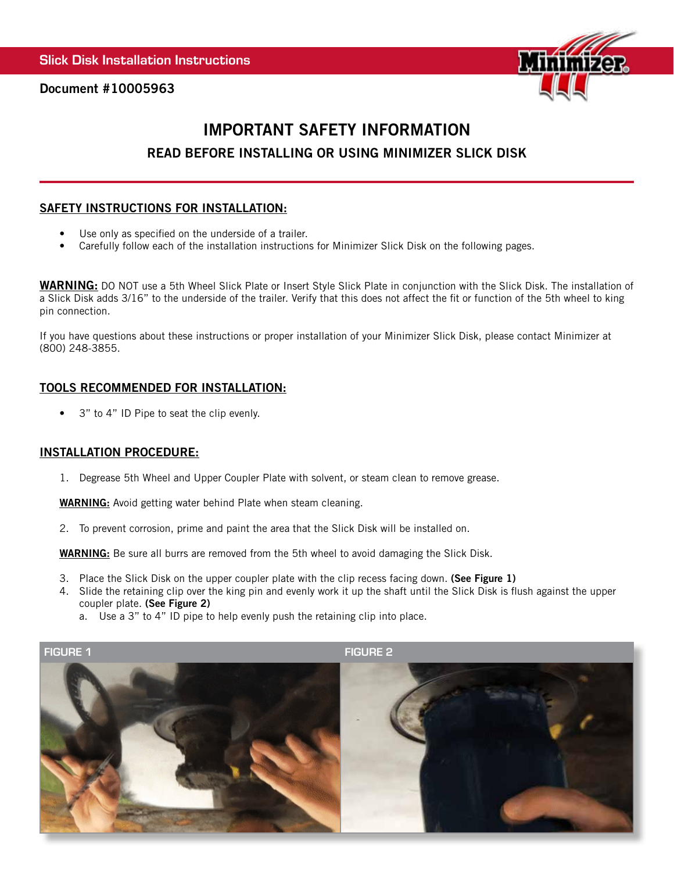

Document #10005963

# IMPORTANT SAFETY INFORMATION READ BEFORE INSTALLING OR USING MINIMIZER SLICK DISK

## SAFETY INSTRUCTIONS FOR INSTALLATION:

- Use only as specified on the underside of a trailer.
- Carefully follow each of the installation instructions for Minimizer Slick Disk on the following pages.

WARNING: DO NOT use a 5th Wheel Slick Plate or Insert Style Slick Plate in conjunction with the Slick Disk. The installation of a Slick Disk adds 3/16" to the underside of the trailer. Verify that this does not affect the fit or function of the 5th wheel to king pin connection.

If you have questions about these instructions or proper installation of your Minimizer Slick Disk, please contact Minimizer at (800) 248-3855.

## TOOLS RECOMMENDED FOR INSTALLATION:

• 3" to 4" ID Pipe to seat the clip evenly.

## INSTALLATION PROCEDURE:

1. Degrease 5th Wheel and Upper Coupler Plate with solvent, or steam clean to remove grease.

**WARNING:** Avoid getting water behind Plate when steam cleaning.

2. To prevent corrosion, prime and paint the area that the Slick Disk will be installed on.

WARNING: Be sure all burrs are removed from the 5th wheel to avoid damaging the Slick Disk.

- 3. Place the Slick Disk on the upper coupler plate with the clip recess facing down. (See Figure 1)
- 4. Slide the retaining clip over the king pin and evenly work it up the shaft until the Slick Disk is flush against the upper coupler plate. (See Figure 2)
	- a. Use a 3" to 4" ID pipe to help evenly push the retaining clip into place.